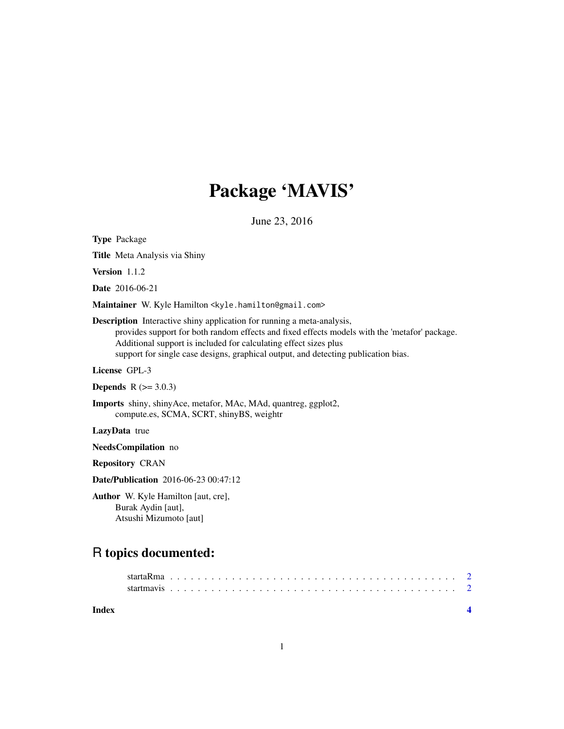## Package 'MAVIS'

June 23, 2016

Type Package Title Meta Analysis via Shiny Version 1.1.2 Date 2016-06-21 Maintainer W. Kyle Hamilton <kyle.hamilton@gmail.com> Description Interactive shiny application for running a meta-analysis, provides support for both random effects and fixed effects models with the 'metafor' package. Additional support is included for calculating effect sizes plus support for single case designs, graphical output, and detecting publication bias. License GPL-3 **Depends** R  $(>= 3.0.3)$ Imports shiny, shinyAce, metafor, MAc, MAd, quantreg, ggplot2, compute.es, SCMA, SCRT, shinyBS, weightr LazyData true NeedsCompilation no Repository CRAN Date/Publication 2016-06-23 00:47:12

Author W. Kyle Hamilton [aut, cre], Burak Aydin [aut], Atsushi Mizumoto [aut]

## R topics documented:

| Index |  |  |  |  |  |  |  |  |  |  |  |  |  |  |  |  |  |  |  |  |  |  |  |
|-------|--|--|--|--|--|--|--|--|--|--|--|--|--|--|--|--|--|--|--|--|--|--|--|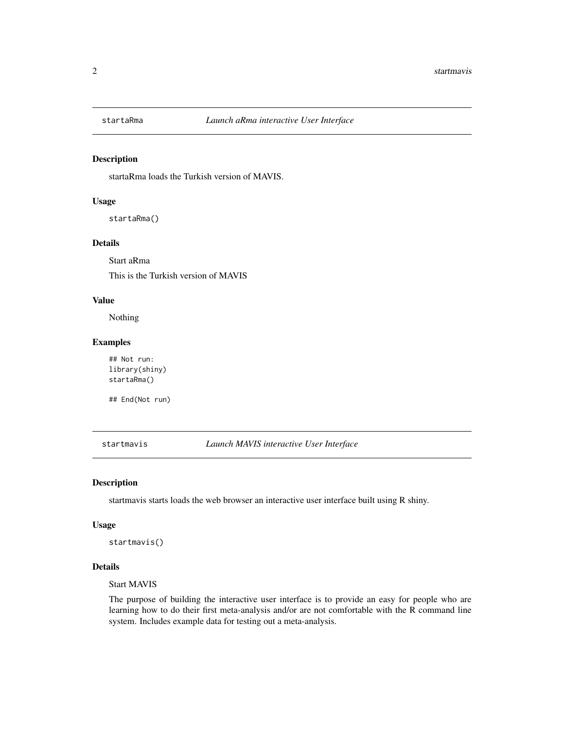<span id="page-1-0"></span>

#### Description

startaRma loads the Turkish version of MAVIS.

#### Usage

startaRma()

#### Details

Start aRma This is the Turkish version of MAVIS

#### Value

Nothing

#### Examples

## Not run: library(shiny) startaRma()

## End(Not run)

startmavis *Launch MAVIS interactive User Interface*

#### Description

startmavis starts loads the web browser an interactive user interface built using R shiny.

#### Usage

startmavis()

#### Details

Start MAVIS

The purpose of building the interactive user interface is to provide an easy for people who are learning how to do their first meta-analysis and/or are not comfortable with the R command line system. Includes example data for testing out a meta-analysis.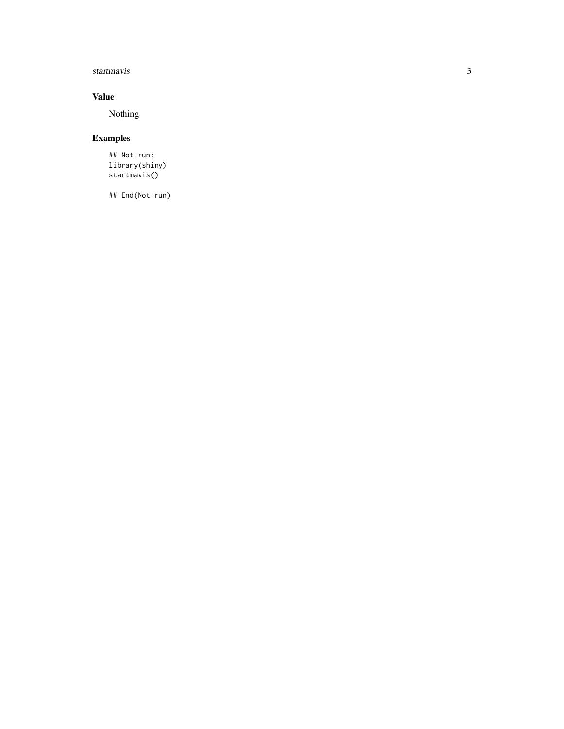#### startmavis

#### Value

Nothing

### Examples

## Not run: library(shiny) startmavis()

## End(Not run)